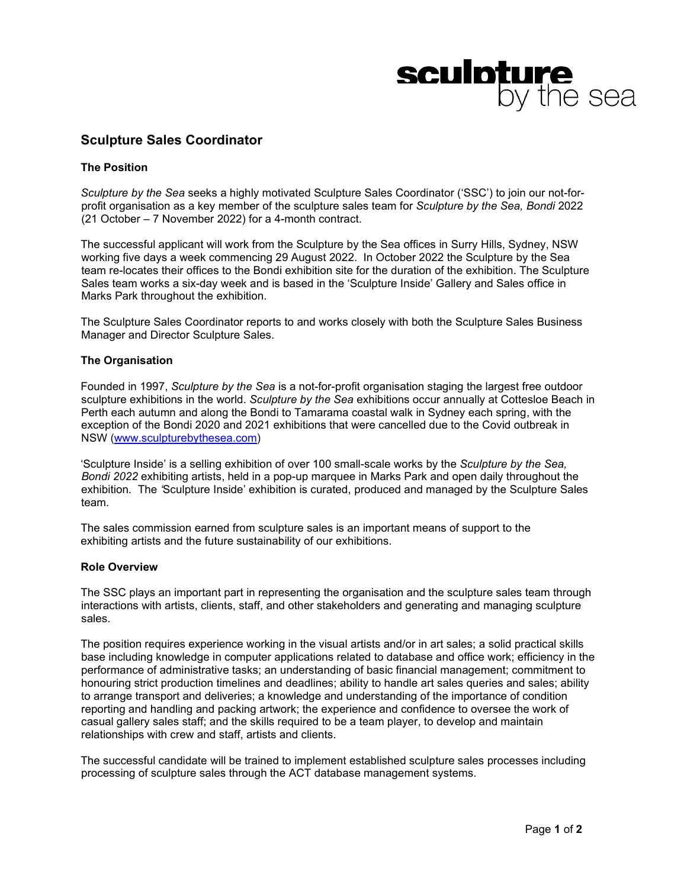# **sculpture**<br>by the sea

# **Sculpture Sales Coordinator**

# **The Position**

*Sculpture by the Sea* seeks a highly motivated Sculpture Sales Coordinator ('SSC') to join our not-forprofit organisation as a key member of the sculpture sales team for *Sculpture by the Sea, Bondi* 2022 (21 October – 7 November 2022) for a 4-month contract.

The successful applicant will work from the Sculpture by the Sea offices in Surry Hills, Sydney, NSW working five days a week commencing 29 August 2022. In October 2022 the Sculpture by the Sea team re-locates their offices to the Bondi exhibition site for the duration of the exhibition. The Sculpture Sales team works a six-day week and is based in the 'Sculpture Inside' Gallery and Sales office in Marks Park throughout the exhibition.

The Sculpture Sales Coordinator reports to and works closely with both the Sculpture Sales Business Manager and Director Sculpture Sales.

# **The Organisation**

Founded in 1997, *Sculpture by the Sea* is a not-for-profit organisation staging the largest free outdoor sculpture exhibitions in the world. *Sculpture by the Sea* exhibitions occur annually at Cottesloe Beach in Perth each autumn and along the Bondi to Tamarama coastal walk in Sydney each spring, with the exception of the Bondi 2020 and 2021 exhibitions that were cancelled due to the Covid outbreak in NSW [\(www.sculpturebythesea.com\)](http://www.sculpturebythesea.com/)

'Sculpture Inside' is a selling exhibition of over 100 small-scale works by the *Sculpture by the Sea, Bondi 2022* exhibiting artists, held in a pop-up marquee in Marks Park and open daily throughout the exhibition. The *'*Sculpture Inside' exhibition is curated, produced and managed by the Sculpture Sales team.

The sales commission earned from sculpture sales is an important means of support to the exhibiting artists and the future sustainability of our exhibitions.

# **Role Overview**

The SSC plays an important part in representing the organisation and the sculpture sales team through interactions with artists, clients, staff, and other stakeholders and generating and managing sculpture sales.

The position requires experience working in the visual artists and/or in art sales; a solid practical skills base including knowledge in computer applications related to database and office work; efficiency in the performance of administrative tasks; an understanding of basic financial management; commitment to honouring strict production timelines and deadlines; ability to handle art sales queries and sales; ability to arrange transport and deliveries; a knowledge and understanding of the importance of condition reporting and handling and packing artwork; the experience and confidence to oversee the work of casual gallery sales staff; and the skills required to be a team player, to develop and maintain relationships with crew and staff, artists and clients.

The successful candidate will be trained to implement established sculpture sales processes including processing of sculpture sales through the ACT database management systems.